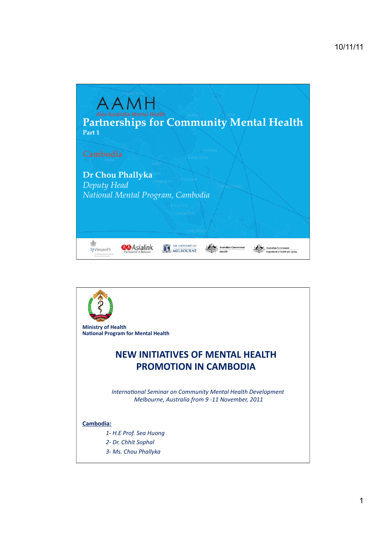

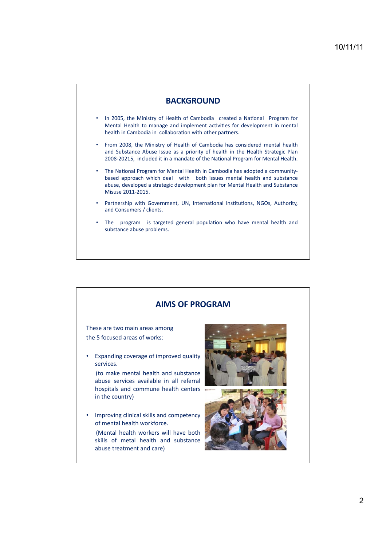

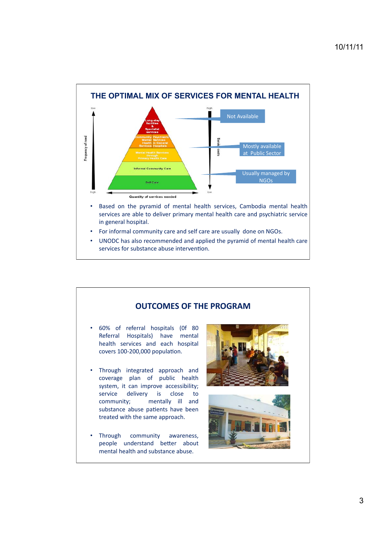

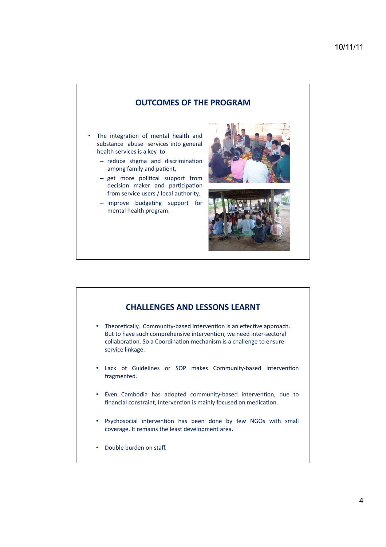### **OUTCOMES OF THE PROGRAM**

- The integration of mental health and substance abuse services into general health services is a key to
	- reduce stigma and discrimination among family and patient,
	- get more political support from decision maker and participation from service users / local authority,
	- improve budgeting support for mental health program.





### **CHALLENGES AND LESSONS LEARNT**

- Theoretically, Community-based intervention is an effective approach. But to have such comprehensive intervention, we need inter-sectoral collaboration. So a Coordination mechanism is a challenge to ensure service linkage.
- . Lack of Guidelines or SOP makes Community-based intervention fragmented.
- Even Cambodia has adopted community-based intervention, due to financial constraint, Intervention is mainly focused on medication.
- Psychosocial intervention has been done by few NGOs with small coverage. It remains the least development area.
- Double burden on staff.  $\bullet$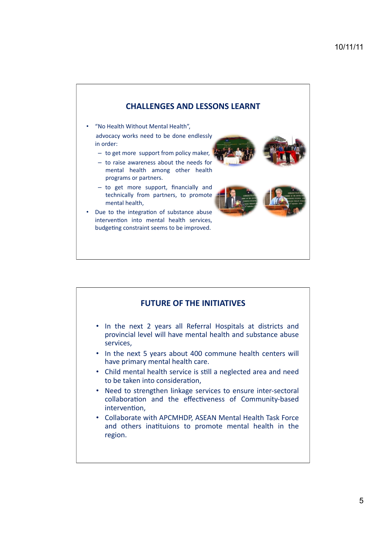

# **FUTURE OF THE INITIATIVES**

- In the next 2 years all Referral Hospitals at districts and provincial level will have mental health and substance abuse services,
- In the next 5 years about 400 commune health centers will have primary mental health care.
- Child mental health service is still a neglected area and need to be taken into consideration.
- Need to strengthen linkage services to ensure inter-sectoral collaboration and the effectiveness of Community-based intervention.
- Collaborate with APCMHDP, ASEAN Mental Health Task Force and others inatituions to promote mental health in the region.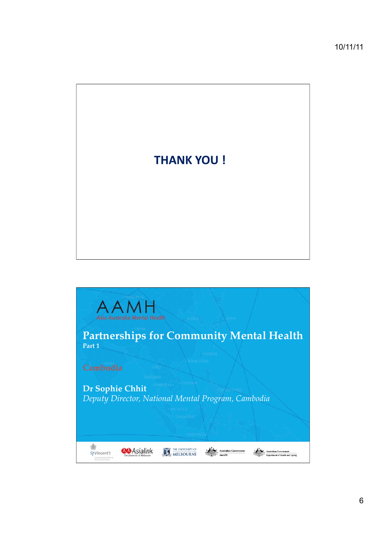

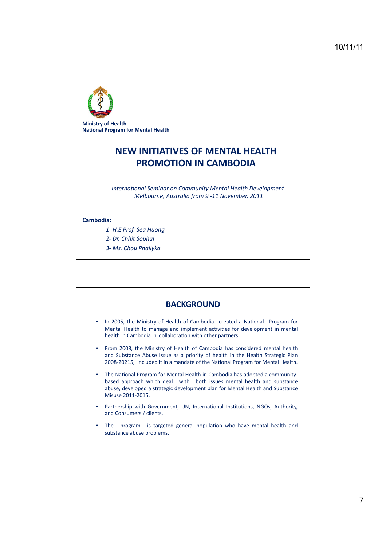

**Ministry of Health National Program for Mental Health** 

# **NEW INITIATIVES OF MENTAL HEALTH PROMOTION IN CAMBODIA**

International Seminar on Community Mental Health Development Melbourne, Australia from 9-11 November, 2011

#### Cambodia:

- 1- H.E Prof. Sea Huong
- 2- Dr. Chhit Sophal
- 3- Ms. Chou Phallyka

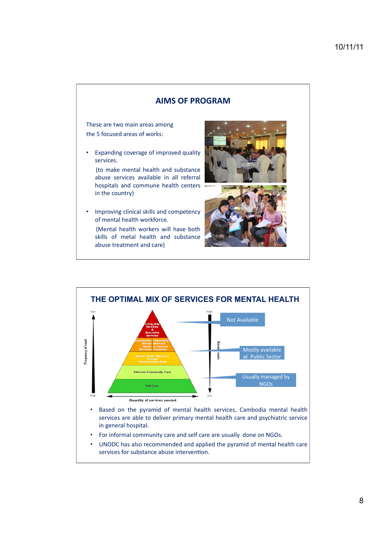## **AIMS OF PROGRAM**

These are two main areas among the 5 focused areas of works:

Expanding coverage of improved quality services.

(to make mental health and substance abuse services available in all referral hospitals and commune health centers in the country)

Improving clinical skills and competency of mental health workforce. (Mental health workers will have both skills of metal health and substance abuse treatment and care)





UNODC has also recommended and applied the pyramid of mental health care  $\bullet$ services for substance abuse intervention.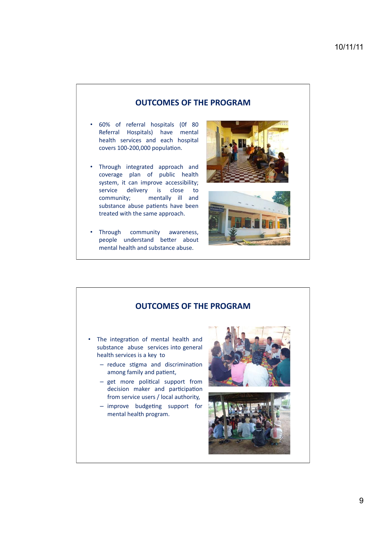### **OUTCOMES OF THE PROGRAM**

- . 60% of referral hospitals (0f 80 Referral Hospitals) have mental health services and each hospital covers 100-200,000 population.
- Through integrated approach and coverage plan of public health system, it can improve accessibility; service delivery is close  $\overline{t}$ community; mentally ill and substance abuse patients have been treated with the same approach.
- Through community awareness, people understand better about mental health and substance abuse.





### **OUTCOMES OF THE PROGRAM**

- The integration of mental health and substance abuse services into general health services is a key to
	- reduce stigma and discrimination among family and patient,
	- get more political support from decision maker and participation from service users / local authority,
	- improve budgeting support for mental health program.



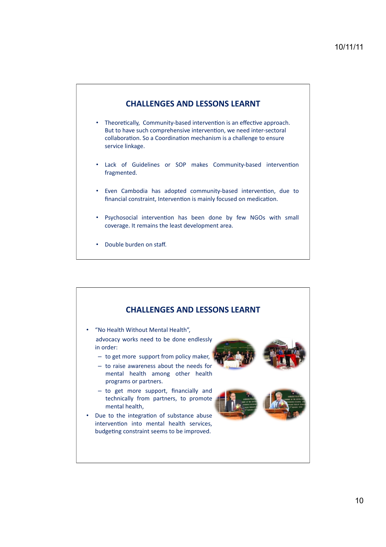# **CHALLENGES AND LESSONS LEARNT**

- Theoretically, Community-based intervention is an effective approach. But to have such comprehensive intervention, we need inter-sectoral collaboration. So a Coordination mechanism is a challenge to ensure service linkage.
- Lack of Guidelines or SOP makes Community-based intervention  $\bullet$ fragmented.
- Even Cambodia has adopted community-based intervention, due to financial constraint, Intervention is mainly focused on medication.
- . Psychosocial intervention has been done by few NGOs with small coverage. It remains the least development area.
- Double burden on staff.